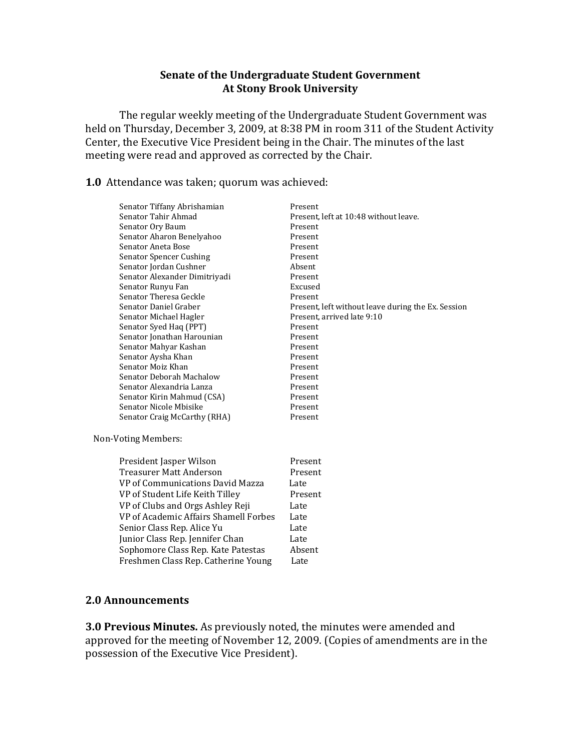### **Senate of the Undergraduate Student Government At Stony Brook University**

The regular weekly meeting of the Undergraduate Student Government was held on Thursday, December 3, 2009, at 8:38 PM in room 311 of the Student Activity Center, the Executive Vice President being in the Chair. The minutes of the last meeting were read and approved as corrected by the Chair.

**1.0** Attendance was taken; quorum was achieved:

|                     | Senator Tiffany Abrishamian           | Present                                            |
|---------------------|---------------------------------------|----------------------------------------------------|
|                     | Senator Tahir Ahmad                   | Present, left at 10:48 without leave.              |
|                     | Senator Ory Baum                      | Present                                            |
|                     | Senator Aharon Benelyahoo             | Present                                            |
|                     | Senator Aneta Bose                    | Present                                            |
|                     | Senator Spencer Cushing               | Present                                            |
|                     | Senator Jordan Cushner                | Absent                                             |
|                     | Senator Alexander Dimitriyadi         | Present                                            |
|                     | Senator Runyu Fan                     | Excused                                            |
|                     | Senator Theresa Geckle                | Present                                            |
|                     | Senator Daniel Graber                 | Present, left without leave during the Ex. Session |
|                     | Senator Michael Hagler                | Present, arrived late 9:10                         |
|                     | Senator Syed Haq (PPT)                | Present                                            |
|                     | Senator Jonathan Harounian            | Present                                            |
|                     | Senator Mahyar Kashan                 | Present                                            |
|                     | Senator Aysha Khan                    | Present                                            |
|                     | Senator Moiz Khan                     | Present                                            |
|                     | Senator Deborah Machalow              | Present                                            |
|                     | Senator Alexandria Lanza              | Present                                            |
|                     | Senator Kirin Mahmud (CSA)            | Present                                            |
|                     | Senator Nicole Mbisike                | Present                                            |
|                     | Senator Craig McCarthy (RHA)          | Present                                            |
| Non-Voting Members: |                                       |                                                    |
|                     | President Jasper Wilson               | Present                                            |
|                     | <b>Treasurer Matt Anderson</b>        | Present                                            |
|                     | VP of Communications David Mazza      | Late                                               |
|                     | VP of Student Life Keith Tilley       | Present                                            |
|                     | VP of Clubs and Orgs Ashley Reji      | Late                                               |
|                     | VP of Academic Affairs Shamell Forbes | Late                                               |
|                     |                                       |                                                    |
|                     | Senior Class Rep. Alice Yu            | Late                                               |
|                     | Junior Class Rep. Jennifer Chan       | Late                                               |
|                     | Sophomore Class Rep. Kate Patestas    | Absent                                             |
|                     | Freshmen Class Rep. Catherine Young   | Late                                               |

#### **2.0 Announcements**

**3.0 Previous Minutes.** As previously noted, the minutes were amended and approved for the meeting of November 12, 2009. (Copies of amendments are in the possession of the Executive Vice President).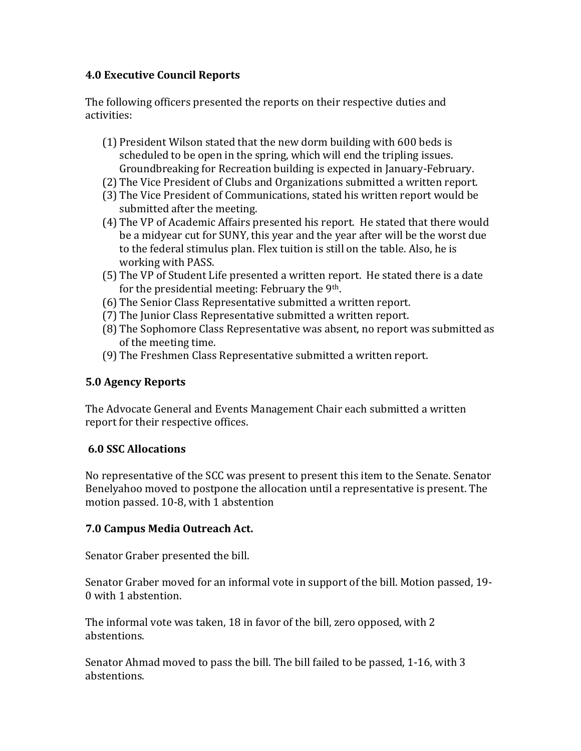## **4.0 Executive Council Reports**

The following officers presented the reports on their respective duties and activities:

- (1) President Wilson stated that the new dorm building with 600 beds is scheduled to be open in the spring, which will end the tripling issues. Groundbreaking for Recreation building is expected in January-February.
- (2) The Vice President of Clubs and Organizations submitted a written report.
- (3) The Vice President of Communications, stated his written report would be submitted after the meeting.
- (4) The VP of Academic Affairs presented his report. He stated that there would be a midyear cut for SUNY, this year and the year after will be the worst due to the federal stimulus plan. Flex tuition is still on the table. Also, he is working with PASS.
- (5) The VP of Student Life presented a written report. He stated there is a date for the presidential meeting: February the 9th.
- (6) The Senior Class Representative submitted a written report.
- (7) The Junior Class Representative submitted a written report.
- (8) The Sophomore Class Representative was absent, no report was submitted as of the meeting time.
- (9) The Freshmen Class Representative submitted a written report.

# **5.0 Agency Reports**

The Advocate General and Events Management Chair each submitted a written report for their respective offices.

# **6.0 SSC Allocations**

No representative of the SCC was present to present this item to the Senate. Senator Benelyahoo moved to postpone the allocation until a representative is present. The motion passed. 10-8, with 1 abstention

# **7.0 Campus Media Outreach Act.**

Senator Graber presented the bill.

Senator Graber moved for an informal vote in support of the bill. Motion passed, 19- 0 with 1 abstention.

The informal vote was taken, 18 in favor of the bill, zero opposed, with 2 abstentions.

Senator Ahmad moved to pass the bill. The bill failed to be passed, 1-16, with 3 abstentions.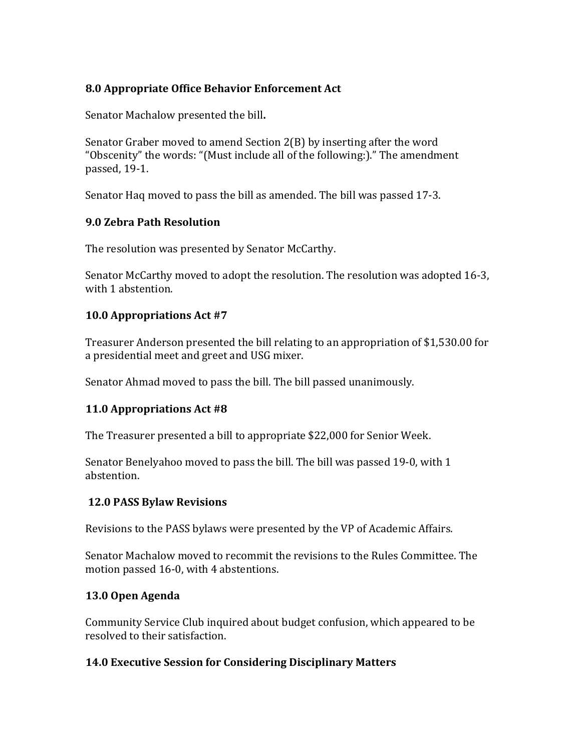# **8.0 Appropriate Office Behavior Enforcement Act**

Senator Machalow presented the bill**.**

Senator Graber moved to amend Section 2(B) by inserting after the word "Obscenity" the words: "(Must include all of the following:)." The amendment passed, 19-1.

Senator Haq moved to pass the bill as amended. The bill was passed 17-3.

#### **9.0 Zebra Path Resolution**

The resolution was presented by Senator McCarthy.

Senator McCarthy moved to adopt the resolution. The resolution was adopted 16-3, with 1 abstention.

## **10.0 Appropriations Act #7**

Treasurer Anderson presented the bill relating to an appropriation of \$1,530.00 for a presidential meet and greet and USG mixer.

Senator Ahmad moved to pass the bill. The bill passed unanimously.

## **11.0 Appropriations Act #8**

The Treasurer presented a bill to appropriate \$22,000 for Senior Week.

Senator Benelyahoo moved to pass the bill. The bill was passed 19-0, with 1 abstention.

## **12.0 PASS Bylaw Revisions**

Revisions to the PASS bylaws were presented by the VP of Academic Affairs.

Senator Machalow moved to recommit the revisions to the Rules Committee. The motion passed 16-0, with 4 abstentions.

## **13.0 Open Agenda**

Community Service Club inquired about budget confusion, which appeared to be resolved to their satisfaction.

## **14.0 Executive Session for Considering Disciplinary Matters**